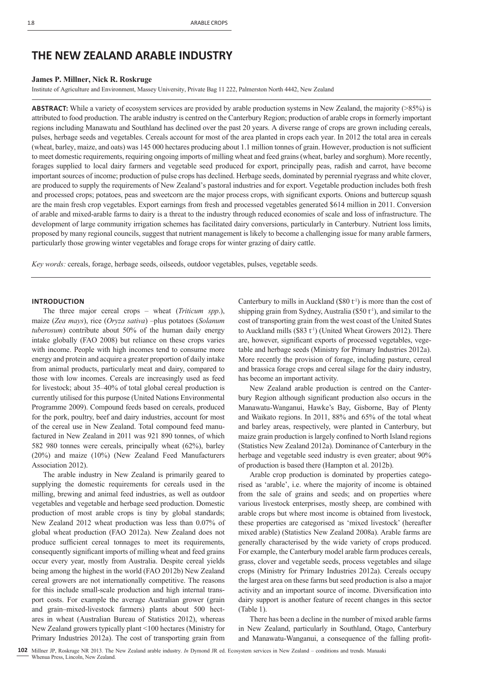# **THE NEW ZEALAND ARABLE INDUSTRY**

# **James P. Millner, Nick R. Roskruge**

Institute of Agriculture and Environment, Massey University, Private Bag 11 222, Palmerston North 4442, New Zealand

**ABSTRACT:** While a variety of ecosystem services are provided by arable production systems in New Zealand, the majority (>85%) is attributed to food production. The arable industry is centred on the Canterbury Region; production of arable crops in formerly important regions including Manawatu and Southland has declined over the past 20 years. A diverse range of crops are grown including cereals, pulses, herbage seeds and vegetables. Cereals account for most of the area planted in crops each year. In 2012 the total area in cereals (wheat, barley, maize, and oats) was 145 000 hectares producing about 1.1 million tonnes of grain. However, production is not sufficient to meet domestic requirements, requiring ongoing imports of milling wheat and feed grains (wheat, barley and sorghum). More recently, forages supplied to local dairy farmers and vegetable seed produced for export, principally peas, radish and carrot, have become important sources of income; production of pulse crops has declined. Herbage seeds, dominated by perennial ryegrass and white clover, are produced to supply the requirements of New Zealand's pastoral industries and for export. Vegetable production includes both fresh and processed crops; potatoes, peas and sweetcorn are the major process crops, with significant exports. Onions and buttercup squash are the main fresh crop vegetables. Export earnings from fresh and processed vegetables generated \$614 million in 2011. Conversion of arable and mixed-arable farms to dairy is a threat to the industry through reduced economies of scale and loss of infrastructure. The development of large community irrigation schemes has facilitated dairy conversions, particularly in Canterbury. Nutrient loss limits, proposed by many regional councils, suggest that nutrient management is likely to become a challenging issue for many arable farmers, particularly those growing winter vegetables and forage crops for winter grazing of dairy cattle.

*Key words:* cereals, forage, herbage seeds, oilseeds, outdoor vegetables, pulses, vegetable seeds.

# **INTRODUCTION**

The three major cereal crops – wheat (*Triticum spp*.), maize (*Zea mays*), rice (*Oryza sativa*) –plus potatoes (*Solanum tuberosum*) contribute about 50% of the human daily energy intake globally (FAO 2008) but reliance on these crops varies with income. People with high incomes tend to consume more energy and protein and acquire a greater proportion of daily intake from animal products, particularly meat and dairy, compared to those with low incomes. Cereals are increasingly used as feed for livestock; about 35–40% of total global cereal production is currently utilised for this purpose (United Nations Environmental Programme 2009). Compound feeds based on cereals, produced for the pork, poultry, beef and dairy industries, account for most of the cereal use in New Zealand. Total compound feed manufactured in New Zealand in 2011 was 921 890 tonnes, of which 582 980 tonnes were cereals, principally wheat (62%), barley (20%) and maize (10%) (New Zealand Feed Manufacturers Association 2012).

The arable industry in New Zealand is primarily geared to supplying the domestic requirements for cereals used in the milling, brewing and animal feed industries, as well as outdoor vegetables and vegetable and herbage seed production. Domestic production of most arable crops is tiny by global standards; New Zealand 2012 wheat production was less than 0.07% of global wheat production (FAO 2012a). New Zealand does not produce sufficient cereal tonnages to meet its requirements, consequently significant imports of milling wheat and feed grains occur every year, mostly from Australia. Despite cereal yields being among the highest in the world (FAO 2012b) New Zealand cereal growers are not internationally competitive. The reasons for this include small-scale production and high internal transport costs. For example the average Australian grower (grain and grain–mixed-livestock farmers) plants about 500 hectares in wheat (Australian Bureau of Statistics 2012), whereas New Zealand growers typically plant <100 hectares (Ministry for Primary Industries 2012a). The cost of transporting grain from

Canterbury to mills in Auckland (\$80  $t$ <sup>1</sup>) is more than the cost of shipping grain from Sydney, Australia ( $$50 t$ <sup>1</sup>), and similar to the cost of transporting grain from the west coast of the United States to Auckland mills (\$83 $t$ <sup>1</sup>) (United Wheat Growers 2012). There are, however, significant exports of processed vegetables, vegetable and herbage seeds (Ministry for Primary Industries 2012a). More recently the provision of forage, including pasture, cereal and brassica forage crops and cereal silage for the dairy industry, has become an important activity.

New Zealand arable production is centred on the Canterbury Region although significant production also occurs in the Manawatu-Wanganui, Hawke's Bay, Gisborne, Bay of Plenty and Waikato regions. In 2011, 88% and 65% of the total wheat and barley areas, respectively, were planted in Canterbury, but maize grain production is largely confined to North Island regions (Statistics New Zealand 2012a). Dominance of Canterbury in the herbage and vegetable seed industry is even greater; about 90% of production is based there (Hampton et al. 2012b).

Arable crop production is dominated by properties categorised as 'arable', i.e. where the majority of income is obtained from the sale of grains and seeds; and on properties where various livestock enterprises, mostly sheep, are combined with arable crops but where most income is obtained from livestock, these properties are categorised as 'mixed livestock' (hereafter mixed arable) (Statistics New Zealand 2008a). Arable farms are generally characterised by the wide variety of crops produced. For example, the Canterbury model arable farm produces cereals, grass, clover and vegetable seeds, process vegetables and silage crops (Ministry for Primary Industries 2012a). Cereals occupy the largest area on these farms but seed production is also a major activity and an important source of income. Diversification into dairy support is another feature of recent changes in this sector (Table 1).

There has been a decline in the number of mixed arable farms in New Zealand, particularly in Southland, Otago, Canterbury and Manawatu-Wanganui, a consequence of the falling profit-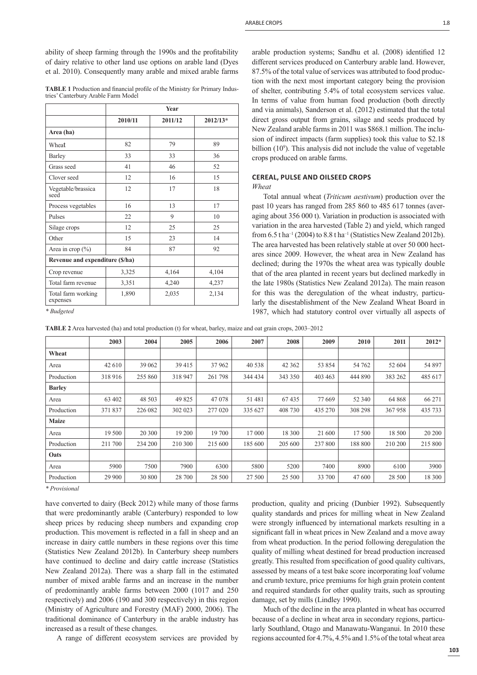**TABLE 1** Production and financial profile of the Ministry for Primary Industries' Canterbury Arable Farm Model

|                                 | <b>Year</b> |         |            |  |  |  |  |
|---------------------------------|-------------|---------|------------|--|--|--|--|
|                                 | 2010/11     | 2011/12 | $2012/13*$ |  |  |  |  |
| Area (ha)                       |             |         |            |  |  |  |  |
| Wheat                           | 82          | 79      | 89         |  |  |  |  |
| Barley                          | 33          | 33      | 36         |  |  |  |  |
| Grass seed                      | 41          | 46      | 52         |  |  |  |  |
| Clover seed                     | 12          | 16      | 15         |  |  |  |  |
| Vegetable/brassica<br>seed      | 12          | 17      | 18         |  |  |  |  |
| Process vegetables              | 16          | 13      | 17         |  |  |  |  |
| Pulses                          | 22          | 9       | 10         |  |  |  |  |
| Silage crops                    | 12          | 25      | 25         |  |  |  |  |
| Other                           | 15          | 23      | 14         |  |  |  |  |
| Area in crop $(\% )$            | 84          | 87      | 92         |  |  |  |  |
| Revenue and expenditure (\$/ha) |             |         |            |  |  |  |  |
| Crop revenue                    | 3,325       | 4,164   | 4,104      |  |  |  |  |
| Total farm revenue              | 3,351       | 4,240   | 4,237      |  |  |  |  |
| Total farm working<br>expenses  | 1,890       | 2,035   | 2,134      |  |  |  |  |

*\* Budgeted*

arable production systems; Sandhu et al. (2008) identified 12 different services produced on Canterbury arable land. However, 87.5% of the total value of services was attributed to food production with the next most important category being the provision of shelter, contributing 5.4% of total ecosystem services value. In terms of value from human food production (both directly and via animals), Sanderson et al. (2012) estimated that the total direct gross output from grains, silage and seeds produced by New Zealand arable farms in 2011 was \$868.1 million. The inclusion of indirect impacts (farm supplies) took this value to \$2.18 billion (10<sup>9</sup>). This analysis did not include the value of vegetable crops produced on arable farms.

# **CEREAL, PULSE AND OILSEED CROPS**

*Wheat*

Total annual wheat (*Triticum aestivum*) production over the past 10 years has ranged from 285 860 to 485 617 tonnes (averaging about 356 000 t). Variation in production is associated with variation in the area harvested (Table 2) and yield, which ranged from  $6.5$  t ha<sup>-1</sup> (2004) to  $8.8$  t ha<sup>-1</sup> (Statistics New Zealand 2012b). The area harvested has been relatively stable at over 50 000 hectares since 2009. However, the wheat area in New Zealand has declined; during the 1970s the wheat area was typically double that of the area planted in recent years but declined markedly in the late 1980s (Statistics New Zealand 2012a). The main reason for this was the deregulation of the wheat industry, particularly the disestablishment of the New Zealand Wheat Board in 1987, which had statutory control over virtually all aspects of

| <b>TABLE 2</b> Area harvested (ha) and total production (t) for wheat, barley, maize and oat grain crops, 2003–2012 |  |  |  |  |  |  |  |  |  |  |  |
|---------------------------------------------------------------------------------------------------------------------|--|--|--|--|--|--|--|--|--|--|--|
|---------------------------------------------------------------------------------------------------------------------|--|--|--|--|--|--|--|--|--|--|--|

|               | 2003    | 2004    | 2005    | 2006    | 2007    | 2008    | 2009    | 2010    | 2011    | $2012*$ |
|---------------|---------|---------|---------|---------|---------|---------|---------|---------|---------|---------|
| Wheat         |         |         |         |         |         |         |         |         |         |         |
| Area          | 42 610  | 39 062  | 39415   | 37962   | 40 538  | 42 3 62 | 53 854  | 54 762  | 52 604  | 54 897  |
| Production    | 318 916 | 255 860 | 318 947 | 261 798 | 344 434 | 343 350 | 403 463 | 444 890 | 383 262 | 485 617 |
| <b>Barley</b> |         |         |         |         |         |         |         |         |         |         |
| Area          | 63 402  | 48 503  | 49 825  | 47 078  | 51 481  | 67435   | 77 669  | 52 340  | 64 868  | 66 271  |
| Production    | 371 837 | 226 082 | 302 023 | 277 020 | 335 627 | 408 730 | 435 270 | 308 298 | 367958  | 435 733 |
| <b>Maize</b>  |         |         |         |         |         |         |         |         |         |         |
| Area          | 19 500  | 20 300  | 19 200  | 19 700  | 17 000  | 18 300  | 21 600  | 17 500  | 18 500  | 20 200  |
| Production    | 211 700 | 234 200 | 210 300 | 215 600 | 185 600 | 205 600 | 237 800 | 188 800 | 210 200 | 215 800 |
| Oats          |         |         |         |         |         |         |         |         |         |         |
| Area          | 5900    | 7500    | 7900    | 6300    | 5800    | 5200    | 7400    | 8900    | 6100    | 3900    |
| Production    | 29 900  | 30 800  | 28 700  | 28 500  | 27 500  | 25 500  | 33 700  | 47 600  | 28 500  | 18 300  |

*\* Provisional*

have converted to dairy (Beck 2012) while many of those farms that were predominantly arable (Canterbury) responded to low sheep prices by reducing sheep numbers and expanding crop production. This movement is reflected in a fall in sheep and an increase in dairy cattle numbers in these regions over this time (Statistics New Zealand 2012b). In Canterbury sheep numbers have continued to decline and dairy cattle increase (Statistics New Zealand 2012a). There was a sharp fall in the estimated number of mixed arable farms and an increase in the number of predominantly arable farms between 2000 (1017 and 250 respectively) and 2006 (190 and 300 respectively) in this region (Ministry of Agriculture and Forestry (MAF) 2000, 2006). The traditional dominance of Canterbury in the arable industry has increased as a result of these changes.

A range of different ecosystem services are provided by

production, quality and pricing (Dunbier 1992). Subsequently quality standards and prices for milling wheat in New Zealand were strongly influenced by international markets resulting in a significant fall in wheat prices in New Zealand and a move away from wheat production. In the period following deregulation the quality of milling wheat destined for bread production increased greatly. This resulted from specification of good quality cultivars, assessed by means of a test bake score incorporating loaf volume and crumb texture, price premiums for high grain protein content and required standards for other quality traits, such as sprouting damage, set by mills (Lindley 1990).

Much of the decline in the area planted in wheat has occurred because of a decline in wheat area in secondary regions, particularly Southland, Otago and Manawatu-Wanganui. In 2010 these regions accounted for 4.7%, 4.5% and 1.5% of the total wheat area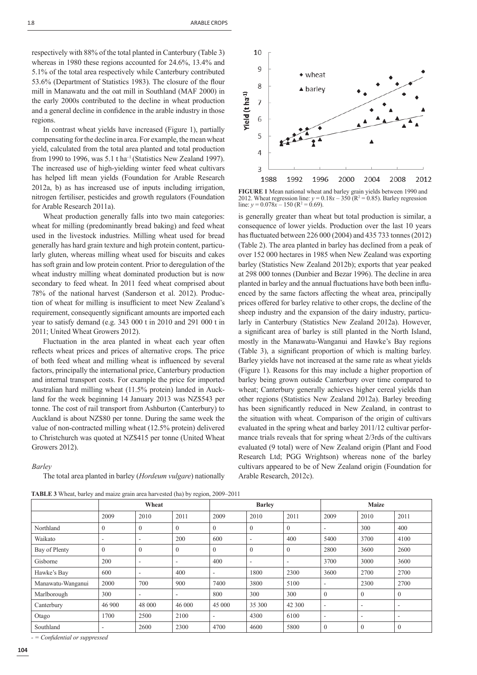respectively with 88% of the total planted in Canterbury (Table 3) whereas in 1980 these regions accounted for 24.6%, 13.4% and 5.1% of the total area respectively while Canterbury contributed 53.6% (Department of Statistics 1983). The closure of the flour mill in Manawatu and the oat mill in Southland (MAF 2000) in the early 2000s contributed to the decline in wheat production and a general decline in confidence in the arable industry in those regions.

In contrast wheat yields have increased (Figure 1), partially compensating for the decline in area. For example, the mean wheat yield, calculated from the total area planted and total production from 1990 to 1996, was 5.1 t ha–1 (Statistics New Zealand 1997). The increased use of high-yielding winter feed wheat cultivars has helped lift mean yields (Foundation for Arable Research 2012a, b) as has increased use of inputs including irrigation, nitrogen fertiliser, pesticides and growth regulators (Foundation for Arable Research 2011a).

Wheat production generally falls into two main categories: wheat for milling (predominantly bread baking) and feed wheat used in the livestock industries. Milling wheat used for bread generally has hard grain texture and high protein content, particularly gluten, whereas milling wheat used for biscuits and cakes has soft grain and low protein content. Prior to deregulation of the wheat industry milling wheat dominated production but is now secondary to feed wheat. In 2011 feed wheat comprised about 78% of the national harvest (Sanderson et al. 2012). Production of wheat for milling is insufficient to meet New Zealand's requirement, consequently significant amounts are imported each year to satisfy demand (e.g. 343 000 t in 2010 and 291 000 t in 2011; United Wheat Growers 2012).

Fluctuation in the area planted in wheat each year often reflects wheat prices and prices of alternative crops. The price of both feed wheat and milling wheat is influenced by several factors, principally the international price, Canterbury production and internal transport costs. For example the price for imported Australian hard milling wheat (11.5% protein) landed in Auckland for the week beginning 14 January 2013 was NZ\$543 per tonne. The cost of rail transport from Ashburton (Canterbury) to Auckland is about NZ\$80 per tonne. During the same week the value of non-contracted milling wheat (12.5% protein) delivered to Christchurch was quoted at NZ\$415 per tonne (United Wheat Growers 2012).

#### *Barley*

The total area planted in barley (*Hordeum vulgare*) nationally

**TABLE 3** Wheat, barley and maize grain area harvested (ha) by region, 2009–2011



**FIGURE 1** Mean national wheat and barley grain yields between 1990 and 2012. Wheat regression line:  $y = 0.18x - 350$  ( $R^2 = 0.85$ ). Barley regression line:  $y = 0.078x - 150$  (R<sup>2</sup> = 0.69).

is generally greater than wheat but total production is similar, a consequence of lower yields. Production over the last 10 years has fluctuated between 226 000 (2004) and 435 733 tonnes (2012) (Table 2). The area planted in barley has declined from a peak of over 152 000 hectares in 1985 when New Zealand was exporting barley (Statistics New Zealand 2012b); exports that year peaked at 298 000 tonnes (Dunbier and Bezar 1996). The decline in area planted in barley and the annual fluctuations have both been influenced by the same factors affecting the wheat area, principally prices offered for barley relative to other crops, the decline of the sheep industry and the expansion of the dairy industry, particularly in Canterbury (Statistics New Zealand 2012a). However, a significant area of barley is still planted in the North Island, mostly in the Manawatu-Wanganui and Hawke's Bay regions (Table 3), a significant proportion of which is malting barley. Barley yields have not increased at the same rate as wheat yields (Figure 1). Reasons for this may include a higher proportion of barley being grown outside Canterbury over time compared to wheat; Canterbury generally achieves higher cereal yields than other regions (Statistics New Zealand 2012a). Barley breeding has been significantly reduced in New Zealand, in contrast to the situation with wheat. Comparison of the origin of cultivars evaluated in the spring wheat and barley 2011/12 cultivar performance trials reveals that for spring wheat 2/3rds of the cultivars evaluated (9 total) were of New Zealand origin (Plant and Food Research Ltd; PGG Wrightson) whereas none of the barley cultivars appeared to be of New Zealand origin (Foundation for Arable Research, 2012c).

|                   | Wheat          |                          |                          | <b>Barley</b> |                          |                          | <b>Maize</b>     |              |                          |
|-------------------|----------------|--------------------------|--------------------------|---------------|--------------------------|--------------------------|------------------|--------------|--------------------------|
|                   | 2009           | 2010                     | 2011                     | 2009          | 2010                     | 2011                     | 2009             | 2010         | 2011                     |
| Northland         | $\theta$       | $\mathbf{0}$             | $\Omega$                 | $\mathbf{0}$  | $\theta$                 | $\mathbf{0}$             | ۰                | 300          | 400                      |
| Waikato           | ۰              | $\overline{\phantom{a}}$ | 200                      | 600           | $\overline{\phantom{a}}$ | 400                      | 5400             | 3700         | 4100                     |
| Bay of Plenty     | $\overline{0}$ | $\mathbf{0}$             | $\theta$                 | $\mathbf{0}$  | $\mathbf{0}$             | $\mathbf{0}$             | 2800             | 3600         | 2600                     |
| Gisborne          | 200            | $\overline{\phantom{a}}$ | -                        | 400           | ٠                        | $\overline{\phantom{a}}$ | 3700             | 3000         | 3600                     |
| Hawke's Bay       | 600            | $\overline{\phantom{a}}$ | 400                      | ۰             | 1800                     | 2300                     | 3600             | 2700         | 2700                     |
| Manawatu-Wanganui | 2000           | 700                      | 900                      | 7400          | 3800                     | 5100                     | $\sim$           | 2300         | 2700                     |
| Marlborough       | 300            | $\overline{\phantom{a}}$ | $\overline{\phantom{a}}$ | 800           | 300                      | 300                      | $\mathbf{0}$     | $\mathbf{0}$ | $\overline{0}$           |
| Canterbury        | 46 900         | 48 000                   | 46 000                   | 45 000        | 35 300                   | 42 300                   | $\sim$           | ۰            | $\overline{\phantom{a}}$ |
| Otago             | 1700           | 2500                     | 2100                     | ۰             | 4300                     | 6100                     | -                | ۰            | $\overline{\phantom{a}}$ |
| Southland         | ۰              | 2600                     | 2300                     | 4700          | 4600                     | 5800                     | $\boldsymbol{0}$ | $\mathbf{0}$ | $\overline{0}$           |

*- = Confi dential or suppressed*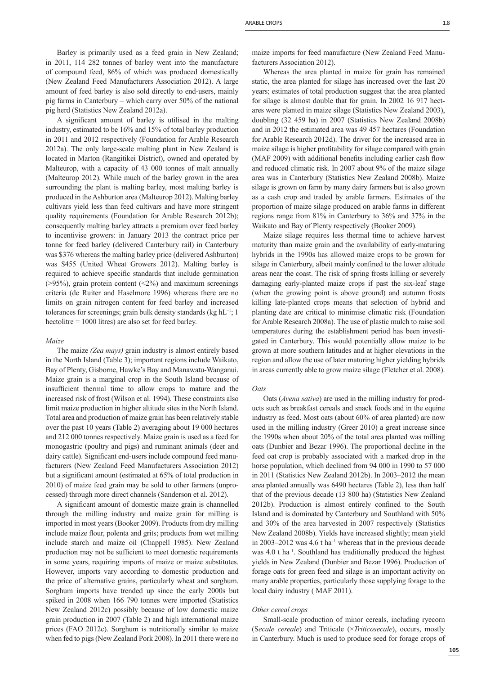Barley is primarily used as a feed grain in New Zealand; in 2011, 114 282 tonnes of barley went into the manufacture of compound feed, 86% of which was produced domestically (New Zealand Feed Manufacturers Association 2012). A large amount of feed barley is also sold directly to end-users, mainly pig farms in Canterbury – which carry over 50% of the national pig herd (Statistics New Zealand 2012a).

A significant amount of barley is utilised in the malting industry, estimated to be 16% and 15% of total barley production in 2011 and 2012 respectively (Foundation for Arable Research 2012a). The only large-scale malting plant in New Zealand is located in Marton (Rangitikei District), owned and operated by Malteurop, with a capacity of 43 000 tonnes of malt annually (Malteurop 2012). While much of the barley grown in the area surrounding the plant is malting barley, most malting barley is produced in the Ashburton area (Malteurop 2012). Malting barley cultivars yield less than feed cultivars and have more stringent quality requirements (Foundation for Arable Research 2012b); consequently malting barley attracts a premium over feed barley to incentivise growers: in January 2013 the contract price per tonne for feed barley (delivered Canterbury rail) in Canterbury was \$376 whereas the malting barley price (delivered Ashburton) was \$455 (United Wheat Growers 2012). Malting barley is required to achieve specific standards that include germination  $($ >95%), grain protein content  $($ <2%) and maximum screenings criteria (de Ruiter and Haselmore 1996) whereas there are no limits on grain nitrogen content for feed barley and increased tolerances for screenings; grain bulk density standards (kg  $hL^{-1}$ ; 1 hectolitre = 1000 litres) are also set for feed barley.

#### *Maize*

The maize *(Zea mays)* grain industry is almost entirely based in the North Island (Table 3); important regions include Waikato, Bay of Plenty, Gisborne, Hawke's Bay and Manawatu-Wanganui. Maize grain is a marginal crop in the South Island because of insufficient thermal time to allow crops to mature and the increased risk of frost (Wilson et al. 1994). These constraints also limit maize production in higher altitude sites in the North Island. Total area and production of maize grain has been relatively stable over the past 10 years (Table 2) averaging about 19 000 hectares and 212 000 tonnes respectively. Maize grain is used as a feed for monogastric (poultry and pigs) and ruminant animals (deer and dairy cattle). Significant end-users include compound feed manufacturers (New Zealand Feed Manufacturers Association 2012) but a significant amount (estimated at 65% of total production in 2010) of maize feed grain may be sold to other farmers (unprocessed) through more direct channels (Sanderson et al. 2012).

A significant amount of domestic maize grain is channelled through the milling industry and maize grain for milling is imported in most years (Booker 2009). Products from dry milling include maize flour, polenta and grits; products from wet milling include starch and maize oil (Chappell 1985). New Zealand production may not be sufficient to meet domestic requirements in some years, requiring imports of maize or maize substitutes. However, imports vary according to domestic production and the price of alternative grains, particularly wheat and sorghum. Sorghum imports have trended up since the early 2000s but spiked in 2008 when 166 790 tonnes were imported (Statistics New Zealand 2012c) possibly because of low domestic maize grain production in 2007 (Table 2) and high international maize prices (FAO 2012c). Sorghum is nutritionally similar to maize when fed to pigs (New Zealand Pork 2008). In 2011 there were no

maize imports for feed manufacture (New Zealand Feed Manufacturers Association 2012).

Whereas the area planted in maize for grain has remained static, the area planted for silage has increased over the last 20 years; estimates of total production suggest that the area planted for silage is almost double that for grain. In 2002 16 917 hectares were planted in maize silage (Statistics New Zealand 2003), doubling (32 459 ha) in 2007 (Statistics New Zealand 2008b) and in 2012 the estimated area was 49 457 hectares (Foundation for Arable Research 2012d). The driver for the increased area in maize silage is higher profitability for silage compared with grain (MAF 2009) with additional benefits including earlier cash flow and reduced climatic risk. In 2007 about 9% of the maize silage area was in Canterbury (Statistics New Zealand 2008b). Maize silage is grown on farm by many dairy farmers but is also grown as a cash crop and traded by arable farmers. Estimates of the proportion of maize silage produced on arable farms in different regions range from 81% in Canterbury to 36% and 37% in the Waikato and Bay of Plenty respectively (Booker 2009).

Maize silage requires less thermal time to achieve harvest maturity than maize grain and the availability of early-maturing hybrids in the 1990s has allowed maize crops to be grown for silage in Canterbury, albeit mainly confined to the lower altitude areas near the coast. The risk of spring frosts killing or severely damaging early-planted maize crops if past the six-leaf stage (when the growing point is above ground) and autumn frosts killing late-planted crops means that selection of hybrid and planting date are critical to minimise climatic risk (Foundation for Arable Research 2008a). The use of plastic mulch to raise soil temperatures during the establishment period has been investigated in Canterbury. This would potentially allow maize to be grown at more southern latitudes and at higher elevations in the region and allow the use of later maturing higher yielding hybrids in areas currently able to grow maize silage (Fletcher et al. 2008).

#### *Oats*

Oats (*Avena sativa*) are used in the milling industry for products such as breakfast cereals and snack foods and in the equine industry as feed. Most oats (about 60% of area planted) are now used in the milling industry (Greer 2010) a great increase since the 1990s when about 20% of the total area planted was milling oats (Dunbier and Bezar 1996). The proportional decline in the feed oat crop is probably associated with a marked drop in the horse population, which declined from 94 000 in 1990 to 57 000 in 2011 (Statistics New Zealand 2012b). In 2003–2012 the mean area planted annually was 6490 hectares (Table 2), less than half that of the previous decade (13 800 ha) (Statistics New Zealand 2012b). Production is almost entirely confined to the South Island and is dominated by Canterbury and Southland with 50% and 30% of the area harvested in 2007 respectively (Statistics New Zealand 2008b). Yields have increased slightly; mean yield in 2003–2012 was  $4.6$  t ha<sup>-1</sup> whereas that in the previous decade was 4.0 t ha<sup>-1</sup>. Southland has traditionally produced the highest yields in New Zealand (Dunbier and Bezar 1996). Production of forage oats for green feed and silage is an important activity on many arable properties, particularly those supplying forage to the local dairy industry ( MAF 2011).

#### *Other cereal crops*

Small-scale production of minor cereals, including ryecorn (S*ecale cereale*) and Triticale (×*Triticosecale*), occurs, mostly in Canterbury. Much is used to produce seed for forage crops of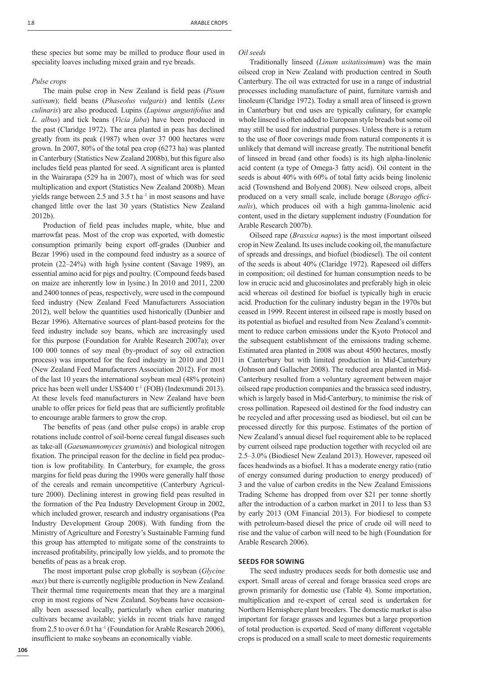these species but some may be milled to produce flour used in speciality loaves including mixed grain and rye breads.

#### *Pulse crops*

The main pulse crop in New Zealand is field peas (*Pisum* sativum); field beans (*Phaseolus vulgaris*) and lentils (*Lens culinaris*) are also produced. Lupins (*Lupinus angustifolius* and *L. albus*) and tick beans (*Vicia faba*) have been produced in the past (Claridge 1972). The area planted in peas has declined greatly from its peak (1987) when over 37 000 hectares were grown. In 2007, 80% of the total pea crop (6273 ha) was planted in Canterbury (Statistics New Zealand 2008b), but this figure also includes field peas planted for seed. A significant area is planted in the Wairarapa (529 ha in 2007), most of which was for seed multiplication and export (Statistics New Zealand 2008b). Mean yields range between 2.5 and 3.5 t ha<sup>-1</sup> in most seasons and have changed little over the last 30 years (Statistics New Zealand 2012b).

Production of field peas includes maple, white, blue and marrowfat peas. Most of the crop was exported, with domestic consumption primarily being export off-grades (Dunbier and Bezar 1996) used in the compound feed industry as a source of protein (22–24%) with high lysine content (Savage 1989), an essential amino acid for pigs and poultry. (Compound feeds based on maize are inherently low in lysine.) In 2010 and 2011, 2200 and 2400 tonnes of peas, respectively, were used in the compound feed industry (New Zealand Feed Manufacturers Association 2012), well below the quantities used historically (Dunbier and Bezar 1996). Alternative sources of plant-based proteins for the feed industry include soy beans, which are increasingly used for this purpose (Foundation for Arable Research 2007a); over 100 000 tonnes of soy meal (by-product of soy oil extraction process) was imported for the feed industry in 2010 and 2011 (New Zealand Feed Manufacturers Association 2012). For most of the last 10 years the international soybean meal (48% protein) price has been well under US\$400 t<sup>-1</sup> (FOB) (Indexmundi 2013). At these levels feed manufacturers in New Zealand have been unable to offer prices for field peas that are sufficiently profitable to encourage arable farmers to grow the crop.

The benefits of peas (and other pulse crops) in arable crop rotations include control of soil-borne cereal fungal diseases such as take-all (*Gaeumannomyces graminis*) and biological nitrogen fixation. The principal reason for the decline in field pea production is low profitability. In Canterbury, for example, the gross margins for field peas during the 1990s were generally half those of the cereals and remain uncompetitive (Canterbury Agriculture 2000). Declining interest in growing field peas resulted in the formation of the Pea Industry Development Group in 2002, which included grower, research and industry organisations (Pea Industry Development Group 2008). With funding from the Ministry of Agriculture and Forestry's Sustainable Farming fund this group has attempted to mitigate some of the constraints to increased profitability, principally low yields, and to promote the benefits of peas as a break crop.

The most important pulse crop globally is soybean (*Glycine max*) but there is currently negligible production in New Zealand. Their thermal time requirements mean that they are a marginal crop in most regions of New Zealand. Soybeans have occasionally been assessed locally, particularly when earlier maturing cultivars became available; yields in recent trials have ranged from 2.5 to over  $6.0$  t ha<sup>-1</sup> (Foundation for Arable Research 2006), insufficient to make soybeans an economically viable.

# *Oil seeds*

Traditionally linseed (*Linum usitatissimum*) was the main oilseed crop in New Zealand with production centred in South Canterbury. The oil was extracted for use in a range of industrial processes including manufacture of paint, furniture varnish and linoleum (Claridge 1972). Today a small area of linseed is grown in Canterbury but end uses are typically culinary, for example whole linseed is often added to European style breads but some oil may still be used for industrial purposes. Unless there is a return to the use of floor coverings made from natural components it is unlikely that demand will increase greatly. The nutritional benefit of linseed in bread (and other foods) is its high alpha-linolenic acid content (a type of Omega-3 fatty acid). Oil content in the seeds is about 40% with 60% of total fatty acids being linolenic acid (Townshend and Bolyend 2008). New oilseed crops, albeit produced on a very small scale, include borage (Borago offici*nalis*), which produces oil with a high gamma-linolenic acid content, used in the dietary supplement industry (Foundation for Arable Research 2007b).

Oilseed rape (*Brassica napus*) is the most important oilseed crop in New Zealand. Its uses include cooking oil, the manufacture of spreads and dressings, and biofuel (biodiesel). The oil content of the seeds is about 40% (Claridge 1972). Rapeseed oil differs in composition; oil destined for human consumption needs to be low in erucic acid and glucosinolates and preferably high in oleic acid whereas oil destined for biofuel is typically high in erucic acid. Production for the culinary industry began in the 1970s but ceased in 1999. Recent interest in oilseed rape is mostly based on its potential as biofuel and resulted from New Zealand's commitment to reduce carbon emissions under the Kyoto Protocol and the subsequent establishment of the emissions trading scheme. Estimated area planted in 2008 was about 4500 hectares, mostly in Canterbury but with limited production in Mid-Canterbury (Johnson and Gallacher 2008). The reduced area planted in Mid-Canterbury resulted from a voluntary agreement between major oilseed rape production companies and the brassica seed industry, which is largely based in Mid-Canterbury, to minimise the risk of cross pollination. Rapeseed oil destined for the food industry can be recycled and after processing used as biodiesel, but oil can be processed directly for this purpose. Estimates of the portion of New Zealand's annual diesel fuel requirement able to be replaced by current oilseed rape production together with recycled oil are 2.5–3.0% (Biodiesel New Zealand 2013). However, rapeseed oil faces headwinds as a biofuel. It has a moderate energy ratio (ratio of energy consumed during production to energy produced) of 3 and the value of carbon credits in the New Zealand Emissions Trading Scheme has dropped from over \$21 per tonne shortly after the introduction of a carbon market in 2011 to less than \$3 by early 2013 (OM Financial 2013). For biodiesel to compete with petroleum-based diesel the price of crude oil will need to rise and the value of carbon will need to be high (Foundation for Arable Research 2006).

#### **SEEDS FOR SOWING**

The seed industry produces seeds for both domestic use and export. Small areas of cereal and forage brassica seed crops are grown primarily for domestic use (Table 4). Some importation, multiplication and re-export of cereal seed is undertaken for Northern Hemisphere plant breeders. The domestic market is also important for forage grasses and legumes but a large proportion of total production is exported. Seed of many different vegetable crops is produced on a small scale to meet domestic requirements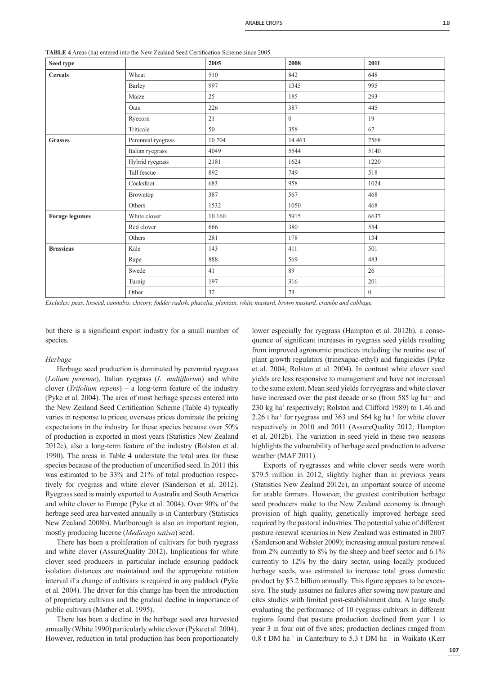| Seed type             |                    | 2005      | 2008           | 2011             |
|-----------------------|--------------------|-----------|----------------|------------------|
| <b>Cereals</b>        | Wheat              | 510       | 842            | 648              |
|                       | Barley             | 997       | 1345           | 995              |
|                       | Maize              | 25        | 185            | 293              |
|                       | Oats               | 226       | 387            | 445              |
|                       | Ryecorn            | 21        | $\overline{0}$ | 19               |
|                       | Triticale          | 50        | 358            | 67               |
| <b>Grasses</b>        | Perennial ryegrass | 10 704    | 14 4 63        | 7568             |
|                       | Italian ryegrass   | 4049      | 5544           | 5140             |
|                       | Hybrid ryegrass    | 2181      | 1624           | 1220             |
|                       | Tall fescue        | 892       | 749            | 518              |
|                       | Cocksfoot          | 683       | 958            | 1024             |
|                       | Browntop           | 387       | 567            | 468              |
|                       | Others             | 1532      | 1050           | 468              |
| <b>Forage legumes</b> | White clover       | $10\;160$ | 5915           | 6637             |
|                       | Red clover         | 666       | 380            | 554              |
|                       | Others             | 281       | 178            | 134              |
| <b>Brassicas</b>      | Kale               | 143       | 411            | 501              |
|                       | Rape               | 888       | 569            | 483              |
|                       | Swede              | 41        | 89             | 26               |
|                       | Turnip             | 197       | 316            | 201              |
|                       | Other              | 32        | 73             | $\boldsymbol{0}$ |
|                       |                    |           |                |                  |

**TABLE 4** Areas (ha) entered into the New Zealand Seed Certification Scheme since 2005

*Excludes: peas, linseed, cannabis, chicory, fodder radish, phacelia, plantain, white mustard, brown mustard, crambe and cabbage.*

but there is a significant export industry for a small number of species.

#### *Herbage*

Herbage seed production is dominated by perennial ryegrass (*Lolium perenne*), Italian ryegrass (*L. multiflorum*) and white clover (*Trifolium repens*) – a long-term feature of the industry (Pyke et al. 2004). The area of most herbage species entered into the New Zealand Seed Certification Scheme (Table 4) typically varies in response to prices; overseas prices dominate the pricing expectations in the industry for these species because over 50% of production is exported in most years (Statistics New Zealand 2012c), also a long-term feature of the industry (Rolston et al. 1990). The areas in Table 4 understate the total area for these species because of the production of uncertified seed. In 2011 this was estimated to be 33% and 21% of total production respectively for ryegrass and white clover (Sanderson et al. 2012). Ryegrass seed is mainly exported to Australia and South America and white clover to Europe (Pyke et al. 2004). Over 90% of the herbage seed area harvested annually is in Canterbury (Statistics New Zealand 2008b). Marlborough is also an important region, mostly producing lucerne (*Medicago sativa*) seed.

There has been a proliferation of cultivars for both ryegrass and white clover (AssureQuality 2012). Implications for white clover seed producers in particular include ensuring paddock isolation distances are maintained and the appropriate rotation interval if a change of cultivars is required in any paddock (Pyke et al. 2004). The driver for this change has been the introduction of proprietary cultivars and the gradual decline in importance of public cultivars (Mather et al. 1995).

There has been a decline in the herbage seed area harvested annually (White 1990) particularly white clover (Pyke et al. 2004). However, reduction in total production has been proportionately lower especially for ryegrass (Hampton et al. 2012b), a consequence of significant increases in ryegrass seed yields resulting from improved agronomic practices including the routine use of plant growth regulators (trinexapac-ethyl) and fungicides (Pyke et al. 2004; Rolston et al. 2004). In contrast white clover seed yields are less responsive to management and have not increased to the same extent. Mean seed yields for ryegrass and white clover have increased over the past decade or so (from 585 kg ha<sup>-1</sup> and 230 kg ha<sup>1</sup> respectively; Rolston and Clifford 1989) to 1.46 and 2.26 t ha<sup>-1</sup> for ryegrass and 363 and 564 kg ha<sup>-1</sup> for white clover respectively in 2010 and 2011 (AssureQuality 2012; Hampton et al. 2012b). The variation in seed yield in these two seasons highlights the vulnerability of herbage seed production to adverse weather (MAF 2011).

Exports of ryegrasses and white clover seeds were worth \$79.5 million in 2012, slightly higher than in previous years (Statistics New Zealand 2012c), an important source of income for arable farmers. However, the greatest contribution herbage seed producers make to the New Zealand economy is through provision of high quality, genetically improved herbage seed required by the pastoral industries. The potential value of different pasture renewal scenarios in New Zealand was estimated in 2007 (Sanderson and Webster 2009); increasing annual pasture renewal from 2% currently to 8% by the sheep and beef sector and 6.1% currently to 12% by the dairy sector, using locally produced herbage seeds, was estimated to increase total gross domestic product by \$3.2 billion annually. This figure appears to be excessive. The study assumes no failures after sowing new pasture and cites studies with limited post-establishment data. A large study evaluating the performance of 10 ryegrass cultivars in different regions found that pasture production declined from year 1 to year 3 in four out of five sites; production declines ranged from  $0.8$  t DM ha<sup>-1</sup> in Canterbury to 5.3 t DM ha<sup>-1</sup> in Waikato (Kerr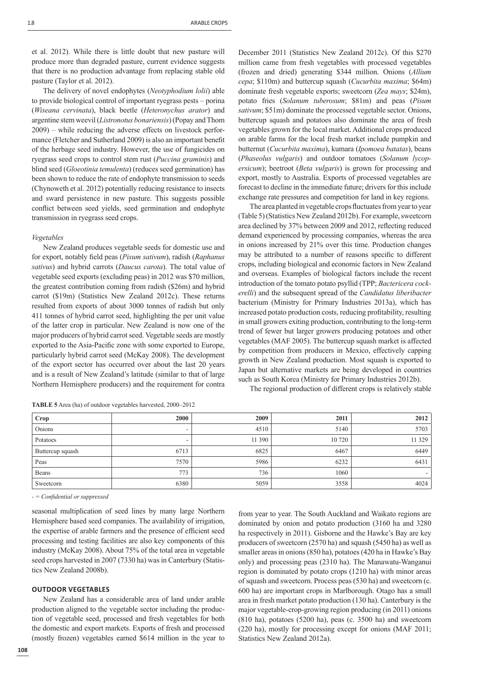et al. 2012). While there is little doubt that new pasture will produce more than degraded pasture, current evidence suggests that there is no production advantage from replacing stable old pasture (Taylor et al. 2012).

The delivery of novel endophytes (*Neotyphodium lolii*) able to provide biological control of important ryegrass pests – porina (*Wiseana cervinata*), black beetle (*Heteronychus arator*) and argentine stem weevil (*Listronotus bonariensis*) (Popay and Thom 2009) – while reducing the adverse effects on livestock performance (Fletcher and Sutherland 2009) is also an important benefit of the herbage seed industry. However, the use of fungicides on ryegrass seed crops to control stem rust (*Puccina graminis*) and blind seed (*Gloeotinia temulenta*) (reduces seed germination) has been shown to reduce the rate of endophyte transmission to seeds (Chynoweth et al. 2012) potentially reducing resistance to insects and sward persistence in new pasture. This suggests possible conflict between seed yields, seed germination and endophyte transmission in ryegrass seed crops.

#### *Vegetables*

New Zealand produces vegetable seeds for domestic use and for export, notably field peas (Pisum sativum), radish (Raphanus *sativus*) and hybrid carrots (*Daucus carota*). The total value of vegetable seed exports (excluding peas) in 2012 was \$70 million, the greatest contribution coming from radish (\$26m) and hybrid carrot (\$19m) (Statistics New Zealand 2012c). These returns resulted from exports of about 3000 tonnes of radish but only 411 tonnes of hybrid carrot seed, highlighting the per unit value of the latter crop in particular. New Zealand is now one of the major producers of hybrid carrot seed. Vegetable seeds are mostly exported to the Asia-Pacific zone with some exported to Europe, particularly hybrid carrot seed (McKay 2008). The development of the export sector has occurred over about the last 20 years and is a result of New Zealand's latitude (similar to that of large Northern Hemisphere producers) and the requirement for contra

**TABLE 5** Area (ha) of outdoor vegetables harvested, 2000–2012

December 2011 (Statistics New Zealand 2012c). Of this \$270 million came from fresh vegetables with processed vegetables (frozen and dried) generating \$344 million. Onions (*Allium cepa*; \$110m) and buttercup squash (*Cucurbita maxima*; \$64m) dominate fresh vegetable exports; sweetcorn (*Zea mays*; \$24m), potato fries (*Solanum tuberosum*; \$81m) and peas (*Pisum sativum*; \$51m) dominate the processed vegetable sector. Onions, buttercup squash and potatoes also dominate the area of fresh vegetables grown for the local market. Additional crops produced on arable farms for the local fresh market include pumpkin and butternut (*Cucurbita maxima*), kumara (*Ipomoea batatas*), beans (*Phaseolus vulgaris*) and outdoor tomatoes (*Solanum lycopersicum*); beetroot (*Beta vulgaris*) is grown for processing and export, mostly to Australia. Exports of processed vegetables are forecast to decline in the immediate future; drivers for this include exchange rate pressures and competition for land in key regions.

The area planted in vegetable crops fluctuates from year to year (Table 5) (Statistics New Zealand 2012b). For example, sweetcorn area declined by 37% between 2009 and 2012, reflecting reduced demand experienced by processing companies, whereas the area in onions increased by 21% over this time. Production changes may be attributed to a number of reasons specific to different crops, including biological and economic factors in New Zealand and overseas. Examples of biological factors include the recent introduction of the tomato potato psyllid (TPP; *Bactericera cockerelli*) and the subsequent spread of the *Candidatus liberibacter*  bacterium (Ministry for Primary Industries 2013a), which has increased potato production costs, reducing profitability, resulting in small growers exiting production, contributing to the long-term trend of fewer but larger growers producing potatoes and other vegetables (MAF 2005). The buttercup squash market is affected by competition from producers in Mexico, effectively capping growth in New Zealand production. Most squash is exported to Japan but alternative markets are being developed in countries such as South Korea (Ministry for Primary Industries 2012b).

The regional production of different crops is relatively stable

| Crop             | 2000 | 2009   | 2011   | 2012    |
|------------------|------|--------|--------|---------|
| Onions           | -    | 4510   | 5140   | 5703    |
| Potatoes         |      | 11 390 | 10 720 | 11 3 29 |
| Buttercup squash | 6713 | 6825   | 6467   | 6449    |
| Peas             | 7570 | 5986   | 6232   | 6431    |
| Beans            | 773  | 736    | 1060   |         |
| Sweetcorn        | 6380 | 5059   | 3558   | 4024    |

*- = Confi dential or suppressed*

seasonal multiplication of seed lines by many large Northern Hemisphere based seed companies. The availability of irrigation, the expertise of arable farmers and the presence of efficient seed processing and testing facilities are also key components of this industry (McKay 2008). About 75% of the total area in vegetable seed crops harvested in 2007 (7330 ha) was in Canterbury (Statistics New Zealand 2008b).

# **OUTDOOR VEGETABLES**

New Zealand has a considerable area of land under arable production aligned to the vegetable sector including the production of vegetable seed, processed and fresh vegetables for both the domestic and export markets. Exports of fresh and processed (mostly frozen) vegetables earned \$614 million in the year to from year to year. The South Auckland and Waikato regions are dominated by onion and potato production (3160 ha and 3280 ha respectively in 2011). Gisborne and the Hawke's Bay are key producers of sweetcorn (2570 ha) and squash (5450 ha) as well as smaller areas in onions (850 ha), potatoes (420 ha in Hawke's Bay only) and processing peas (2310 ha). The Manawatu-Wanganui region is dominated by potato crops (1210 ha) with minor areas of squash and sweetcorn. Process peas (530 ha) and sweetcorn (c. 600 ha) are important crops in Marlborough. Otago has a small area in fresh market potato production (130 ha). Canterbury is the major vegetable-crop-growing region producing (in 2011) onions (810 ha), potatoes (5200 ha), peas (c. 3500 ha) and sweetcorn (220 ha), mostly for processing except for onions (MAF 2011; Statistics New Zealand 2012a).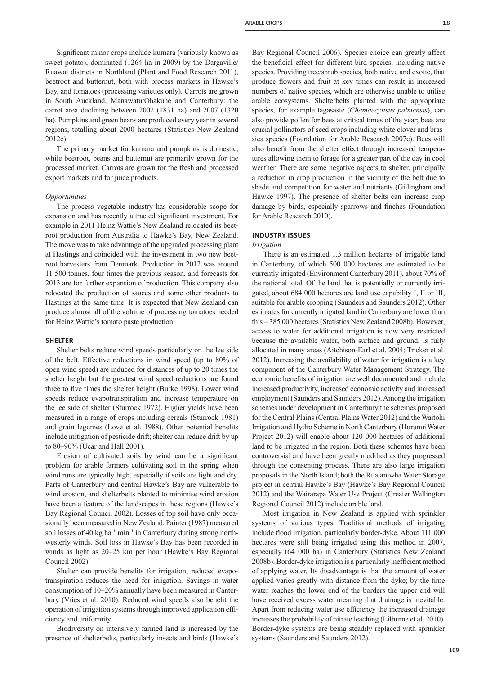Significant minor crops include kumara (variously known as sweet potato), dominated (1264 ha in 2009) by the Dargaville/ Ruawai districts in Northland (Plant and Food Research 2011), beetroot and butternut, both with process markets in Hawke's Bay, and tomatoes (processing varieties only). Carrots are grown in South Auckland, Manawatu/Ohakune and Canterbury: the carrot area declining between 2002 (1831 ha) and 2007 (1320 ha). Pumpkins and green beans are produced every year in several regions, totalling about 2000 hectares (Statistics New Zealand 2012c).

The primary market for kumara and pumpkins is domestic, while beetroot, beans and butternut are primarily grown for the processed market. Carrots are grown for the fresh and processed export markets and for juice products.

#### *Opportunities*

The process vegetable industry has considerable scope for expansion and has recently attracted significant investment. For example in 2011 Heinz Wattie's New Zealand relocated its beetroot production from Australia to Hawke's Bay, New Zealand. The move was to take advantage of the upgraded processing plant at Hastings and coincided with the investment in two new beetroot harvesters from Denmark. Production in 2012 was around 11 500 tonnes, four times the previous season, and forecasts for 2013 are for further expansion of production. This company also relocated the production of sauces and some other products to Hastings at the same time. It is expected that New Zealand can produce almost all of the volume of processing tomatoes needed for Heinz Wattie's tomato paste production.

#### **SHELTER**

Shelter belts reduce wind speeds particularly on the lee side of the belt. Effective reductions in wind speed (up to 80% of open wind speed) are induced for distances of up to 20 times the shelter height but the greatest wind speed reductions are found three to five times the shelter height (Burke 1998). Lower wind speeds reduce evapotranspiration and increase temperature on the lee side of shelter (Sturrock 1972). Higher yields have been measured in a range of crops including cereals (Sturrock 1981) and grain legumes (Love et al. 1988). Other potential benefits include mitigation of pesticide drift; shelter can reduce drift by up to 80–90% (Ucar and Hall 2001).

Erosion of cultivated soils by wind can be a significant problem for arable farmers cultivating soil in the spring when wind runs are typically high, especially if soils are light and dry. Parts of Canterbury and central Hawke's Bay are vulnerable to wind erosion, and shelterbelts planted to minimise wind erosion have been a feature of the landscapes in these regions (Hawke's Bay Regional Council 2002). Losses of top soil have only occasionally been measured in New Zealand. Painter (1987) measured soil losses of 40 kg ha<sup>-1</sup> min<sup>-1</sup> in Canterbury during strong northwesterly winds. Soil loss in Hawke's Bay has been recorded in winds as light as 20–25 km per hour (Hawke's Bay Regional Council 2002).

Shelter can provide benefits for irrigation; reduced evapotranspiration reduces the need for irrigation. Savings in water consumption of 10–20% annually have been measured in Canterbury (Vries et al. 2010). Reduced wind speeds also benefit the operation of irrigation systems through improved application efficiency and uniformity.

Biodiversity on intensively farmed land is increased by the presence of shelterbelts, particularly insects and birds (Hawke's Bay Regional Council 2006). Species choice can greatly affect the beneficial effect for different bird species, including native species. Providing tree/shrub species, both native and exotic, that produce flowers and fruit at key times can result in increased numbers of native species, which are otherwise unable to utilise arable ecosystems. Shelterbelts planted with the appropriate species, for example tagasaste (*Chamaecytisus palmensis*), can also provide pollen for bees at critical times of the year; bees are crucial pollinators of seed crops including white clover and brassica species (Foundation for Arable Research 2007c). Bees will also benefit from the shelter effect through increased temperatures allowing them to forage for a greater part of the day in cool weather. There are some negative aspects to shelter, principally a reduction in crop production in the vicinity of the belt due to shade and competition for water and nutrients (Gillingham and Hawke 1997). The presence of shelter belts can increase crop damage by birds, especially sparrows and finches (Foundation for Arable Research 2010).

# **INDUSTRY ISSUES**

# *Irrigation*

There is an estimated 1.3 million hectares of irrigable land in Canterbury, of which 500 000 hectares are estimated to be currently irrigated (Environment Canterbury 2011), about 70% of the national total. Of the land that is potentially or currently irrigated, about 684 000 hectares are land use capability I, II or III, suitable for arable cropping (Saunders and Saunders 2012). Other estimates for currently irrigated land in Canterbury are lower than this – 385 000 hectares (Statistics New Zealand 2008b). However, access to water for additional irrigation is now very restricted because the available water, both surface and ground, is fully allocated in many areas (Aitchison-Earl et al. 2004; Tricker et al. 2012). Increasing the availability of water for irrigation is a key component of the Canterbury Water Management Strategy. The economic benefits of irrigation are well documented and include increased productivity, increased economic activity and increased employment (Saunders and Saunders 2012). Among the irrigation schemes under development in Canterbury the schemes proposed for the Central Plains (Central Plains Water 2012) and the Waitohi Irrigation and Hydro Scheme in North Canterbury (Hurunui Water Project 2012) will enable about 120 000 hectares of additional land to be irrigated in the region. Both these schemes have been controversial and have been greatly modified as they progressed through the consenting process. There are also large irrigation proposals in the North Island; both the Ruataniwha Water Storage project in central Hawke's Bay (Hawke's Bay Regional Council 2012) and the Wairarapa Water Use Project (Greater Wellington Regional Council 2012) include arable land.

Most irrigation in New Zealand is applied with sprinkler systems of various types. Traditional methods of irrigating include flood irrigation, particularly border-dyke. About 111 000 hectares were still being irrigated using this method in 2007, especially (64 000 ha) in Canterbury (Statistics New Zealand 2008b). Border-dyke irrigation is a particularly inefficient method of applying water. Its disadvantage is that the amount of water applied varies greatly with distance from the dyke; by the time water reaches the lower end of the borders the upper end will have received excess water meaning that drainage is inevitable. Apart from reducing water use efficiency the increased drainage increases the probability of nitrate leaching (Lilburne et al. 2010). Border-dyke systems are being steadily replaced with sprinkler systems (Saunders and Saunders 2012).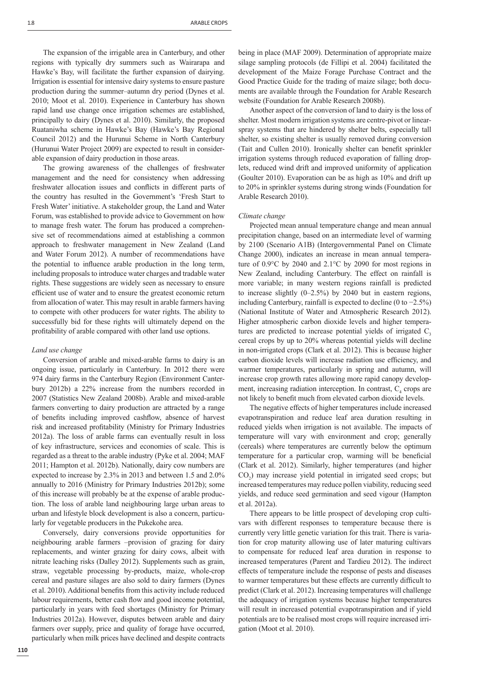The expansion of the irrigable area in Canterbury, and other regions with typically dry summers such as Wairarapa and Hawke's Bay, will facilitate the further expansion of dairying. Irrigation is essential for intensive dairy systems to ensure pasture production during the summer–autumn dry period (Dynes et al. 2010; Moot et al. 2010). Experience in Canterbury has shown rapid land use change once irrigation schemes are established, principally to dairy (Dynes et al. 2010). Similarly, the proposed Ruataniwha scheme in Hawke's Bay (Hawke's Bay Regional Council 2012) and the Hurunui Scheme in North Canterbury (Hurunui Water Project 2009) are expected to result in considerable expansion of dairy production in those areas.

The growing awareness of the challenges of freshwater management and the need for consistency when addressing freshwater allocation issues and conflicts in different parts of the country has resulted in the Government's 'Fresh Start to Fresh Water' initiative. A stakeholder group, the Land and Water Forum, was established to provide advice to Government on how to manage fresh water. The forum has produced a comprehensive set of recommendations aimed at establishing a common approach to freshwater management in New Zealand (Land and Water Forum 2012). A number of recommendations have the potential to influence arable production in the long term, including proposals to introduce water charges and tradable water rights. These suggestions are widely seen as necessary to ensure efficient use of water and to ensure the greatest economic return from allocation of water. This may result in arable farmers having to compete with other producers for water rights. The ability to successfully bid for these rights will ultimately depend on the profitability of arable compared with other land use options.

#### *Land use change*

Conversion of arable and mixed-arable farms to dairy is an ongoing issue, particularly in Canterbury. In 2012 there were 974 dairy farms in the Canterbury Region (Environment Canterbury 2012b) a 22% increase from the numbers recorded in 2007 (Statistics New Zealand 2008b). Arable and mixed-arable farmers converting to dairy production are attracted by a range of benefits including improved cashflow, absence of harvest risk and increased profitability (Ministry for Primary Industries 2012a). The loss of arable farms can eventually result in loss of key infrastructure, services and economies of scale. This is regarded as a threat to the arable industry (Pyke et al. 2004; MAF 2011; Hampton et al. 2012b). Nationally, dairy cow numbers are expected to increase by 2.3% in 2013 and between 1.5 and 2.0% annually to 2016 (Ministry for Primary Industries 2012b); some of this increase will probably be at the expense of arable production. The loss of arable land neighbouring large urban areas to urban and lifestyle block development is also a concern, particularly for vegetable producers in the Pukekohe area.

Conversely, dairy conversions provide opportunities for neighbouring arable farmers –provision of grazing for dairy replacements, and winter grazing for dairy cows, albeit with nitrate leaching risks (Dalley 2012). Supplements such as grain, straw, vegetable processing by-products, maize, whole-crop cereal and pasture silages are also sold to dairy farmers (Dynes et al. 2010). Additional benefits from this activity include reduced labour requirements, better cash flow and good income potential, particularly in years with feed shortages (Ministry for Primary Industries 2012a). However, disputes between arable and dairy farmers over supply, price and quality of forage have occurred, particularly when milk prices have declined and despite contracts being in place (MAF 2009). Determination of appropriate maize silage sampling protocols (de Fillipi et al. 2004) facilitated the development of the Maize Forage Purchase Contract and the Good Practice Guide for the trading of maize silage; both documents are available through the Foundation for Arable Research website (Foundation for Arable Research 2008b).

Another aspect of the conversion of land to dairy is the loss of shelter. Most modern irrigation systems are centre-pivot or linearspray systems that are hindered by shelter belts, especially tall shelter, so existing shelter is usually removed during conversion (Tait and Cullen 2010). Ironically shelter can benefit sprinkler irrigation systems through reduced evaporation of falling droplets, reduced wind drift and improved uniformity of application (Goulter 2010). Evaporation can be as high as 10% and drift up to 20% in sprinkler systems during strong winds (Foundation for Arable Research 2010).

# *Climate change*

Projected mean annual temperature change and mean annual precipitation change, based on an intermediate level of warming by 2100 (Scenario A1B) (Intergovernmental Panel on Climate Change 2000), indicates an increase in mean annual temperature of 0.9°C by 2040 and 2.1°C by 2090 for most regions in New Zealand, including Canterbury. The effect on rainfall is more variable; in many western regions rainfall is predicted to increase slightly (0–2.5%) by 2040 but in eastern regions, including Canterbury, rainfall is expected to decline (0 to −2.5%) (National Institute of Water and Atmospheric Research 2012). Higher atmospheric carbon dioxide levels and higher temperatures are predicted to increase potential yields of irrigated  $C<sub>3</sub>$ cereal crops by up to 20% whereas potential yields will decline in non-irrigated crops (Clark et al. 2012). This is because higher carbon dioxide levels will increase radiation use efficiency, and warmer temperatures, particularly in spring and autumn, will increase crop growth rates allowing more rapid canopy development, increasing radiation interception. In contrast,  $C_4$  crops are not likely to benefit much from elevated carbon dioxide levels.

The negative effects of higher temperatures include increased evapotranspiration and reduce leaf area duration resulting in reduced yields when irrigation is not available. The impacts of temperature will vary with environment and crop; generally (cereals) where temperatures are currently below the optimum temperature for a particular crop, warming will be beneficial (Clark et al. 2012). Similarly, higher temperatures (and higher CO2 ) may increase yield potential in irrigated seed crops; but increased temperatures may reduce pollen viability, reducing seed yields, and reduce seed germination and seed vigour (Hampton et al. 2012a).

There appears to be little prospect of developing crop cultivars with different responses to temperature because there is currently very little genetic variation for this trait. There is variation for crop maturity allowing use of later maturing cultivars to compensate for reduced leaf area duration in response to increased temperatures (Parent and Tardieu 2012). The indirect effects of temperature include the response of pests and diseases to warmer temperatures but these effects are currently difficult to predict (Clark et al. 2012). Increasing temperatures will challenge the adequacy of irrigation systems because higher temperatures will result in increased potential evapotranspiration and if yield potentials are to be realised most crops will require increased irrigation (Moot et al. 2010).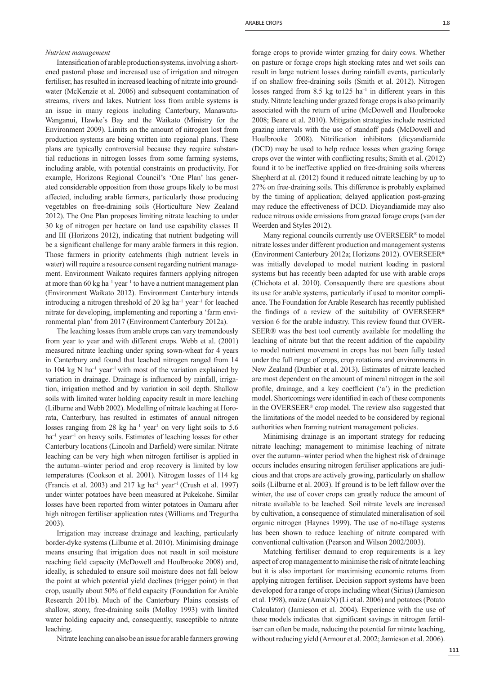#### *Nutrient management*

Intensification of arable production systems, involving a shortened pastoral phase and increased use of irrigation and nitrogen fertiliser, has resulted in increased leaching of nitrate into groundwater (McKenzie et al. 2006) and subsequent contamination of streams, rivers and lakes. Nutrient loss from arable systems is an issue in many regions including Canterbury, Manawatu-Wanganui, Hawke's Bay and the Waikato (Ministry for the Environment 2009). Limits on the amount of nitrogen lost from production systems are being written into regional plans. These plans are typically controversial because they require substantial reductions in nitrogen losses from some farming systems, including arable, with potential constraints on productivity. For example, Horizons Regional Council's 'One Plan' has generated considerable opposition from those groups likely to be most affected, including arable farmers, particularly those producing vegetables on free-draining soils (Horticulture New Zealand 2012). The One Plan proposes limiting nitrate leaching to under 30 kg of nitrogen per hectare on land use capability classes II and III (Horizons 2012), indicating that nutrient budgeting will be a significant challenge for many arable farmers in this region. Those farmers in priority catchments (high nutrient levels in water) will require a resource consent regarding nutrient management. Environment Waikato requires farmers applying nitrogen at more than  $60 \text{ kg ha}^{-1}$  year<sup>-1</sup> to have a nutrient management plan (Environment Waikato 2012). Environment Canterbury intends introducing a nitrogen threshold of 20 kg ha<sup>-1</sup> year<sup>-1</sup> for leached nitrate for developing, implementing and reporting a 'farm environmental plan' from 2017 (Environment Canterbury 2012a).

The leaching losses from arable crops can vary tremendously from year to year and with different crops. Webb et al. (2001) measured nitrate leaching under spring sown-wheat for 4 years in Canterbury and found that leached nitrogen ranged from 14 to 104 kg N ha<sup>-1</sup> year<sup>-1</sup> with most of the variation explained by variation in drainage. Drainage is influenced by rainfall, irrigation, irrigation method and by variation in soil depth. Shallow soils with limited water holding capacity result in more leaching (Lilburne and Webb 2002). Modelling of nitrate leaching at Hororata, Canterbury, has resulted in estimates of annual nitrogen losses ranging from 28  $kg$  ha<sup>-1</sup> year<sup>1</sup> on very light soils to 5.6 ha<sup>-1</sup> year<sup>-1</sup> on heavy soils. Estimates of leaching losses for other Canterbury locations (Lincoln and Darfield) were similar. Nitrate leaching can be very high when nitrogen fertiliser is applied in the autumn–winter period and crop recovery is limited by low temperatures (Cookson et al. 2001). Nitrogen losses of 114 kg (Francis et al. 2003) and 217 kg ha<sup>-1</sup> year<sup>-1</sup> (Crush et al. 1997) under winter potatoes have been measured at Pukekohe. Similar losses have been reported from winter potatoes in Oamaru after high nitrogen fertiliser application rates (Williams and Tregurtha 2003).

Irrigation may increase drainage and leaching, particularly border-dyke systems (Lilburne et al. 2010). Minimising drainage means ensuring that irrigation does not result in soil moisture reaching field capacity (McDowell and Houlbrooke 2008) and, ideally, is scheduled to ensure soil moisture does not fall below the point at which potential yield declines (trigger point) in that crop, usually about 50% of field capacity (Foundation for Arable Research 2011b). Much of the Canterbury Plains consists of shallow, stony, free-draining soils (Molloy 1993) with limited water holding capacity and, consequently, susceptible to nitrate leaching.

Nitrate leaching can also be an issue for arable farmers growing

forage crops to provide winter grazing for dairy cows. Whether on pasture or forage crops high stocking rates and wet soils can result in large nutrient losses during rainfall events, particularly if on shallow free-draining soils (Smith et al. 2012). Nitrogen losses ranged from 8.5 kg to 125 ha<sup>-1</sup> in different years in this study. Nitrate leaching under grazed forage crops is also primarily associated with the return of urine (McDowell and Houlbrooke 2008; Beare et al. 2010). Mitigation strategies include restricted grazing intervals with the use of standoff pads (McDowell and Houlbrooke 2008). Nitrification inhibitors (dicyandiamide (DCD) may be used to help reduce losses when grazing forage crops over the winter with conflicting results; Smith et al. (2012) found it to be ineffective applied on free-draining soils whereas Shepherd at al. (2012) found it reduced nitrate leaching by up to 27% on free-draining soils. This difference is probably explained by the timing of application; delayed application post-grazing may reduce the effectiveness of DCD. Dicyandiamide may also reduce nitrous oxide emissions from grazed forage crops (van der Weerden and Styles 2012).

Many regional councils currently use OVERSEER<sup>®</sup> to model nitrate losses under different production and management systems (Environment Canterbury 2012a; Horizons 2012). OVERSEER® was initially developed to model nutrient loading in pastoral systems but has recently been adapted for use with arable crops (Chichota et al. 2010). Consequently there are questions about its use for arable systems, particularly if used to monitor compliance. The Foundation for Arable Research has recently published the findings of a review of the suitability of OVERSEER® version 6 for the arable industry. This review found that OVER-SEER® was the best tool currently available for modelling the leaching of nitrate but that the recent addition of the capability to model nutrient movement in crops has not been fully tested under the full range of crops, crop rotations and environments in New Zealand (Dunbier et al. 2013). Estimates of nitrate leached are most dependent on the amount of mineral nitrogen in the soil profile, drainage, and a key coefficient  $(a')$  in the prediction model. Shortcomings were identified in each of these components in the OVERSEER*®* crop model. The review also suggested that the limitations of the model needed to be considered by regional authorities when framing nutrient management policies.

Minimising drainage is an important strategy for reducing nitrate leaching; management to minimise leaching of nitrate over the autumn–winter period when the highest risk of drainage occurs includes ensuring nitrogen fertiliser applications are judicious and that crops are actively growing, particularly on shallow soils (Lilburne et al. 2003). If ground is to be left fallow over the winter, the use of cover crops can greatly reduce the amount of nitrate available to be leached. Soil nitrate levels are increased by cultivation, a consequence of stimulated mineralisation of soil organic nitrogen (Haynes 1999). The use of no-tillage systems has been shown to reduce leaching of nitrate compared with conventional cultivation (Pearson and Wilson 2002/2003).

Matching fertiliser demand to crop requirements is a key aspect of crop management to minimise the risk of nitrate leaching but it is also important for maximising economic returns from applying nitrogen fertiliser. Decision support systems have been developed for a range of crops including wheat (Sirius) (Jamieson et al. 1998), maize (AmaizN) (Li et al. 2006) and potatoes (Potato Calculator) (Jamieson et al. 2004). Experience with the use of these models indicates that significant savings in nitrogen fertiliser can often be made, reducing the potential for nitrate leaching, without reducing yield (Armour et al. 2002; Jamieson et al. 2006).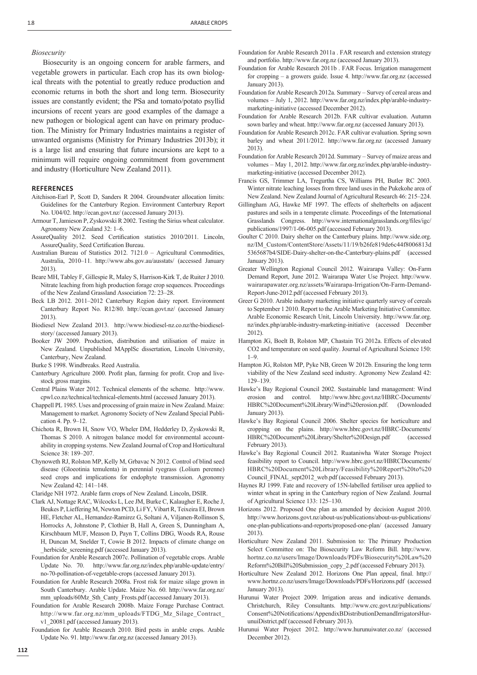# *Biosecurity*

Biosecurity is an ongoing concern for arable farmers, and vegetable growers in particular. Each crop has its own biological threats with the potential to greatly reduce production and economic returns in both the short and long term. Biosecurity issues are constantly evident; the PSa and tomato/potato psyllid incursions of recent years are good examples of the damage a new pathogen or biological agent can have on primary production. The Ministry for Primary Industries maintains a register of unwanted organisms (Ministry for Primary Industries 2013b); it is a large list and ensuring that future incursions are kept to a minimum will require ongoing commitment from government and industry (Horticulture New Zealand 2011).

# **REFERENCES**

- Aitchison-Earl P, Scott D, Sanders R 2004. Groundwater allocation limits: Guidelines for the Canterbury Region. Environment Canterbury Report No. U04/02. http://ecan.govt.nz/ (accessed January 2013).
- Armour T, Jamieson P, Zyskowski R 2002. Testing the Sirius wheat calculator. Agronomy New Zealand 32: 1–6.
- AssureQuality 2012. Seed Certification statistics 2010/2011. Lincoln, AssureQuality, Seed Certification Bureau.
- Australian Bureau of Statistics 2012. 7121.0 Agricultural Commodities, Australia, 2010–11. http://www.abs.gov.au/ausstats/ (accessed January 2013).
- Beare MH, Tabley F, Gillespie R, Maley S, Harrison-Kirk T, de Ruiter J 2010. Nitrate leaching from high production forage crop sequences. Proceedings of the New Zealand Grassland Association 72: 23–28.
- Beck LB 2012. 2011–2012 Canterbury Region dairy report. Environment Canterbury Report No. R12/80. http://ecan.govt.nz/ (accessed January 2013).
- Biodiesel New Zealand 2013. http://www.biodiesel-nz.co.nz/the-biodieselstory/ (accessed January 2013).
- Booker JW 2009. Production, distribution and utilisation of maize in New Zealand. Unpublished MApplSc dissertation, Lincoln University, Canterbury, New Zealand.
- Burke S 1998. Windbreaks. Reed Australia.
- Canterbury Agriculture 2000. Profit plan, farming for profit. Crop and livestock gross margins.
- Central Plains Water 2012. Technical elements of the scheme. http://www. cpwl.co.nz/technical/technical-elements.html (accessed January 2013).
- Chappell PL 1985. Uses and processing of grain maize in New Zealand. Maize: Management to market. Agronomy Society of New Zealand Special Publication 4. Pp. 9–12.
- Chichota R, Brown H, Snow VO, Wheler DM, Hedderley D, Zyskowski R, Thomas S 2010. A nitrogen balance model for environmental accountability in cropping systems. New Zealand Journal of Crop and Horticultural Science 38: 189–207.
- Chynoweth RJ, Rolston MP, Kelly M, Grbavac N 2012. Control of blind seed disease (Gloeotinia temulenta) in perennial ryegrass (Lolium perenne) seed crops and implications for endophyte transmission. Agronomy New Zealand 42: 141–148.
- Claridge NH 1972. Arable farm crops of New Zealand. Lincoln, DSIR.
- Clark AJ, Nottage RAC, Wilcocks L, Lee JM, Burke C, Kalaugher E, Roche J, Beukes P, Lieffering M, Newton PCD, Li FY, Vibart R, Teixeira EI, Brown HE, Fletcher AL, Hernandez-Ramirez G, Soltani A, Viljanen-Rollinson S, Horrocks A, Johnstone P, Clothier B, Hall A, Green S, Dunningham A, Kirschbaum MUF, Meason D, Payn T, Collins DBG, Woods RA, Rouse H, Duncan M, Snelder T, Cowie B 2012. Impacts of climate change on herbicide screening.pdf (accessed January 2013).
- Foundation for Arable Research 2007c. Pollination of vegetable crops. Arable Update No. 70. http://www.far.org.nz/index.php/arable-update/entry/ no-70-pollination-of-vegetable-crops (accessed January 2013).
- Foundation for Arable Research 2008a. Frost risk for maize silage grown in South Canterbury. Arable Update. Maize No. 60. http://www.far.org.nz/ mm\_uploads/60Mz\_Sth\_Canty\_Frosts.pdf (accessed January 2013).
- Foundation for Arable Research 2008b. Maize Forage Purchase Contract. http://www.far.org.nz/mm\_uploads/FTDG\_Mz\_Silage\_Contract\_ v1\_20081.pdf (accessed January 2013).
- Foundation for Arable Research 2010. Bird pests in arable crops. Arable Update No. 91. http://www.far.org.nz (accessed January 2013).
- Foundation for Arable Research 2011a . FAR research and extension strategy and portfolio. http://www.far.org.nz (accessed January 2013).
- Foundation for Arable Research 2011b . FAR Focus. Irrigation management for cropping – a growers guide. Issue 4. http://www.far.org.nz (accessed January 2013).
- Foundation for Arable Research 2012a. Summary Survey of cereal areas and volumes – July 1, 2012. http://www.far.org.nz/index.php/arable-industrymarketing-initiative (accessed December 2012).
- Foundation for Arable Research 2012b. FAR cultivar evaluation. Autumn sown barley and wheat. http://www.far.org.nz (accessed January 2013).
- Foundation for Arable Research 2012c. FAR cultivar evaluation. Spring sown barley and wheat 2011/2012. http://www.far.org.nz (accessed January 2013).
- Foundation for Arable Research 2012d. Summary Survey of maize areas and volumes – May 1, 2012. http://www.far.org.nz/index.php/arable-industrymarketing-initiative (accessed December 2012).
- Francis GS, Trimmer LA, Tregurtha CS, Williams PH, Butler RC 2003. Winter nitrate leaching losses from three land uses in the Pukekohe area of New Zealand. New Zealand Journal of Agricultural Research 46: 215–224.
- Gillingham AG, Hawke MF 1997. The effects of shelterbelts on adjacent pastures and soils in a temperate climate. Proceedings of the International Grasslands Congress. http://www.internationalgrasslands.org/files/igc/ publications/1997/1-06-005.pdf (accessed February 2013).
- Goulter C 2010. Dairy shelter on the Canterbury plains. http://www.side.org. nz/IM\_Custom/ContentStore/Assets/11/19/b26fe819de6c44f8006813d 5365687b4/SIDE-Dairy-shelter-on-the-Canterbury-plains.pdf (accessed January 2013).
- Greater Wellington Regional Council 2012. Wairarapa Valley: On-Farm Demand Report, June 2012. Wairarapa Water Use Project. http://www. wairarapawater.org.nz/assets/Wairarapa-Irrigation/On-Farm-Demand-Report-June-2012.pdf (accessed February 2013).
- Greer G 2010. Arable industry marketing initiative quarterly survey of cereals to September 1 2010. Report to the Arable Marketing Initiative Committee. Arable Economic Research Unit, Lincoln University. http://www.far.org. nz/index.php/arable-industry-marketing-initiative (accessed December 2012).
- Hampton JG, Boelt B, Rolston MP, Chastain TG 2012a. Effects of elevated CO2 and temperature on seed quality. Journal of Agricultural Science 150:  $1 - 9$
- Hampton JG, Rolston MP, Pyke NB, Green W 2012b. Ensuring the long term viability of the New Zealand seed industry. Agronomy New Zealand 42: 129–139.
- Hawke's Bay Regional Council 2002. Sustainable land management: Wind erosion and control. http://www.hbrc.govt.nz/HBRC-Documents/ HBRC%20Document%20Library/Wind%20erosion.pdf. (Downloaded January 2013).
- Hawke's Bay Regional Council 2006. Shelter species for horticulture and cropping on the plains. http://www.hbrc.govt.nz/HBRC-Documents/ HBRC%20Document%20Library/Shelter%20Design.pdf (accessed February 2013).
- Hawke's Bay Regional Council 2012. Ruataniwha Water Storage Project feasibility report to Council. http://www.hbrc.govt.nz/HBRCDocuments/ HBRC%20Document%20Library/Feasibility%20Report%20to%20 Council\_FINAL\_sept2012\_web.pdf (accessed February 2013).
- Haynes RJ 1999. Fate and recovery of 15N-labelled fertiliser urea applied to winter wheat in spring in the Canterbury region of New Zealand. Journal of Agricultural Science 133: 125–130.
- Horizons 2012. Proposed One plan as amended by decision August 2010. http://www.horizons.govt.nz/about-us/publications/about-us-publications/ one-plan-publications-and-reports/proposed-one-plan/ (accessed January 2013).
- Horticulture New Zealand 2011. Submission to: The Primary Production Select Committee on: The Biosecurity Law Reform Bill. http://www. hortnz.co.nz/users/Image/Downloads/PDFs/Biosecurity%20Law%20 Reform%20Bill%20Submission\_copy\_2.pdf (accessed February 2013).
- Horticulture New Zealand 2012. Horizons One Plan appeal, final. http:// www.hortnz.co.nz/users/Image/Downloads/PDFs/Horizons.pdf (accessed January 2013).
- Hurunui Water Project 2009. Irrigation areas and indicative demands. Christchurch, Riley Consultants. http://www.crc.govt.nz/publications/ Consent%20Notifications/AppendixBDistributionDemandIrrigatorsHurunuiDistrict.pdf (accessed February 2013).
- Hurunui Water Project 2012. http://www.hurunuiwater.co.nz/ (accessed December 2012).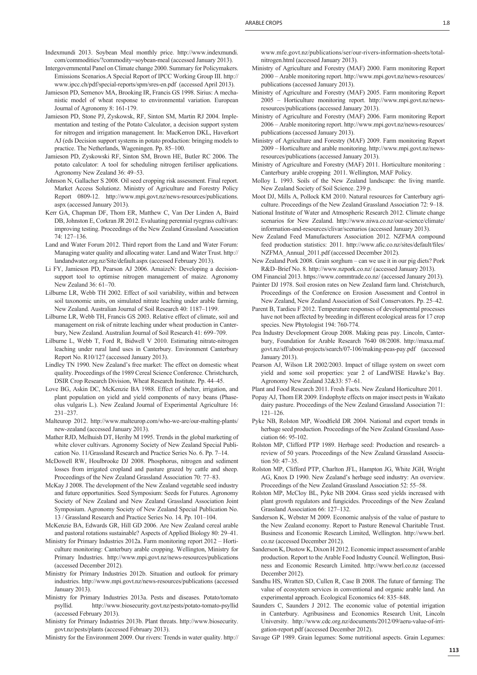Indexmundi 2013. Soybean Meal monthly price. http://www.indexmundi. com/commodities/?commodity=soybean-meal (accessed January 2013).

- Intergovernmental Panel on Climate change 2000. Summary for Policymakers. Emissions Scenarios.A Special Report of IPCC Working Group III. http:// www.ipcc.ch/pdf/special-reports/spm/sres-en.pdf (accessed April 2013).
- Jamieson PD, Semenov MA, Brooking IR, Francis GS 1998. Sirius: A mechanistic model of wheat response to environmental variation. European Journal of Agronomy 8: 161-179.
- Jamieson PD, Stone PJ, Zyskowsk, RF, Sinton SM, Martin RJ 2004. Implementation and testing of the Potato Calculator, a decision support system for nitrogen and irrigation management. In: MacKerron DKL, Haverkort AJ (eds Decision support systems in potato production: bringing models to practice. The Netherlands, Wageningen. Pp. 85–100.
- Jamieson PD, Zyskowski RF, Sinton SM, Brown HE, Butler RC 2006. The potato calculator: A tool for scheduling nitrogen fertiliser applications. Agronomy New Zealand 36: 49–53.
- Johnson N, Gallacher S 2008. Oil seed cropping risk assessment. Final report. Market Access Solutionz. Ministry of Agriculture and Forestry Policy Report 0809-12. http://www.mpi.govt.nz/news-resources/publications. aspx (accessed January 2013).
- Kerr GA, Chapman DF, Thom ER, Matthew C, Van Der Linden A, Baird DB, Johnston E, Corkran JR 2012. Evaluating perennial ryegrass cultivars: improving testing. Proceedings of the New Zealand Grassland Association 74: 127–136.
- Land and Water Forum 2012. Third report from the Land and Water Forum: Managing water quality and allocating water. Land and Water Trust. http:// landandwater.org.nz/Site/default.aspx (accessed February 2013).
- Li FY, Jamieson PD, Pearson AJ 2006. AmaizeN: Developing a decisionsupport tool to optimise nitrogen management of maize. Agronomy New Zealand 36: 61–70.
- Lilburne LR, Webb TH 2002. Effect of soil variability, within and between soil taxonomic units, on simulated nitrate leaching under arable farming, New Zealand. Australian Journal of Soil Research 40: 1187–1199.
- Lilburne LR, Webb TH, Francis GS 2003. Relative effect of climate, soil and management on risk of nitrate leaching under wheat production in Canterbury, New Zealand. Australian Journal of Soil Research 41: 699–709.
- Lilburne L, Webb T, Ford R, Bidwell V 2010. Estimating nitrate-nitrogen leaching under rural land uses in Canterbury. Environment Canterbury Report No. R10/127 (accessed January 2013).
- Lindley TN 1990. New Zealand's free market: The effect on domestic wheat quality. Proceedings of the 1989 Cereal Science Conference. Christchurch, DSIR Crop Research Division, Wheat Research Institute. Pp. 44–45.
- Love BG, Askin DC, McKenzie BA 1988. Effect of shelter, irrigation, and plant population on yield and yield components of navy beans (Phaseolus vulgaris L.). New Zealand Journal of Experimental Agriculture 16: 231–237.
- Malteurop 2012. http://www.malteurop.com/who-we-are/our-malting-plants/ new-zealand (accessed January 2013).
- Mather RJD, Melhuish DT, Herihy M 1995. Trends in the global marketing of white clover cultivars. Agronomy Society of New Zealand Special Publication No. 11/Grassland Research and Practice Series No. 6. Pp. 7–14.
- McDowell RW, Houlbrooke DJ 2008. Phosphorus, nitrogen and sediment losses from irrigated cropland and pasture grazed by cattle and sheep. Proceedings of the New Zealand Grassland Association 70: 77–83.
- McKay J 2008. The development of the New Zealand vegetable seed industry and future opportunities. Seed Symposium: Seeds for Futures. Agronomy Society of New Zealand and New Zealand Grassland Association Joint Symposium. Agronomy Society of New Zealand Special Publication No. 13 / Grassland Research and Practice Series No. 14. Pp. 101–104.
- McKenzie BA, Edwards GR, Hill GD 2006. Are New Zealand cereal arable and pastoral rotations sustainable? Aspects of Applied Biology 80: 29–41.
- Ministry for Primary Industries 2012a. Farm monitoring report 2012 Horticulture monitoring: Canterbury arable cropping. Wellington, Ministry for Primary Industries. http://www.mpi.govt.nz/news-resources/publications (accessed December 2012).
- Ministry for Primary Industries 2012b. Situation and outlook for primary industries. http://www.mpi.govt.nz/news-resources/publications (accessed January 2013).
- Ministry for Primary Industries 2013a. Pests and diseases. Potato/tomato psyllid. http://www.biosecurity.govt.nz/pests/potato-tomato-psyllid (accessed February 2013).
- Ministry for Primary Industries 2013b. Plant threats. http://www.biosecurity. govt.nz/pests/plants (accessed February 2013).

Ministry for the Environment 2009. Our rivers: Trends in water quality. http://

www.mfe.govt.nz/publications/ser/our-rivers-information-sheets/totalnitrogen.html (accessed January 2013).

- Ministry of Agriculture and Forestry (MAF) 2000. Farm monitoring Report 2000 – Arable monitoring report. http://www.mpi.govt.nz/news-resources/ publications (accessed January 2013).
- Ministry of Agriculture and Forestry (MAF) 2005. Farm monitoring Report 2005 – Horticulture monitoring report. http://www.mpi.govt.nz/newsresources/publications (accessed January 2013).
- Ministry of Agriculture and Forestry (MAF) 2006. Farm monitoring Report 2006 – Arable monitoring report. http://www.mpi.govt.nz/news-resources/ publications (accessed January 2013).
- Ministry of Agriculture and Forestry (MAF) 2009. Farm monitoring Report 2009 – Horticulture and arable monitoring. http://www.mpi.govt.nz/newsresources/publications (accessed January 2013).
- Ministry of Agriculture and Forestry (MAF) 2011. Horticulture monitoring : Canterbury arable cropping 2011. Wellington, MAF Policy.
- Molloy L 1993. Soils of the New Zealand landscape: the living mantle. New Zealand Society of Soil Science. 239 p.
- Moot DJ, Mills A, Pollock KM 2010. Natural resources for Canterbury agriculture. Proceedings of the New Zealand Grassland Association 72: 9–18.
- National Institute of Water and Atmospheric Research 2012. Climate change scenarios for New Zealand. http://www.niwa.co.nz/our-science/climate/ information-and-resources/clivar/scenarios (accessed January 2013).
- New Zealand Feed Manufacturers Association 2012. NZFMA compound feed production statistics: 2011. http://www.afic.co.nz/sites/default/files/ NZFMA\_Annual\_2011.pdf (accessed December 2012).
- New Zealand Pork 2008. Grain sorghum can we use it in our pig diets? Pork R&D–Brief No. 8. http://www.nzpork.co.nz/ (accessed January 2013).
- OM Financial 2013. https://www.commtrade.co.nz/ (accessed January 2013). Painter DJ 1978. Soil erosion rates on New Zealand farm land. Christchurch, Proceedings of the Conference on Erosion Assessment and Control in New Zealand, New Zealand Association of Soil Conservators. Pp. 25–42.
- Parent B, Tardieu F 2012. Temperature responses of developmental processes have not been affected by breeding in different ecological areas for 17 crop species. New Phytologist 194: 760-774.
- Pea Industry Development Group 2008. Making peas pay. Lincoln, Canterbury, Foundation for Arable Research 7640 08/2008. http://maxa.maf. govt.nz/sff/about-projects/search/07-106/making-peas-pay.pdf (accessed January 2013).
- Pearson AJ, Wilson LR 2002/2003. Impact of tillage system on sweet corn yield and some soil properties: year 2 of LandWISE Hawke's Bay. Agronomy New Zealand 32&33: 57–61.

Plant and Food Research 2011. Fresh Facts. New Zealand Horticulture 2011.

- Popay AJ, Thom ER 2009. Endophyte effects on major insect pests in Waikato dairy pasture. Proceedings of the New Zealand Grassland Association 71: 121–126.
- Pyke NB, Rolston MP, Woodfield DR 2004. National and export trends in herbage seed production. Proceedings of the New Zealand Grassland Association 66: 95-102.
- Rolston MP, Clifford PTP 1989. Herbage seed: Production and research- a review of 50 years. Proceedings of the New Zealand Grassland Association 50: 47–35.
- Rolston MP, Clifford PTP, Charlton JFL, Hampton JG, White JGH, Wright AG, Knox D 1990. New Zealand's herbage seed industry: An overview. Proceedings of the New Zealand Grassland Association 52: 55–58.
- Rolston MP, McCloy BL, Pyke NB 2004. Grass seed yields increased with plant growth regulators and fungicides. Proceedings of the New Zealand Grassland Association 66: 127–132.
- Sanderson K, Webster M 2009. Economic analysis of the value of pasture to the New Zealand economy. Report to Pasture Renewal Charitable Trust. Business and Economic Research Limited, Wellington. http://www.berl. co.nz (accessed December 2012).
- Sanderson K, Dustow K, Dixon H 2012. Economic impact assessment of arable production. Report to the Arable Food Industry Council. Wellington, Business and Economic Research Limited. http://www.berl.co.nz (accessed December 2012).
- Sandhu HS, Wratten SD, Cullen R, Case B 2008. The future of farming: The value of ecosystem services in conventional and organic arable land. An experimental approach. Ecological Economics 64: 835–848.
- Saunders C, Saunders J 2012. The economic value of potential irrigation in Canterbury. Agribusiness and Economics Research Unit, Lincoln University. http://www.cdc.org.nz/documents/2012/09/aeru-value-of-irrigation-report.pdf (accessed December 2012).

Savage GP 1989. Grain legumes: Some nutritional aspects. Grain Legumes: